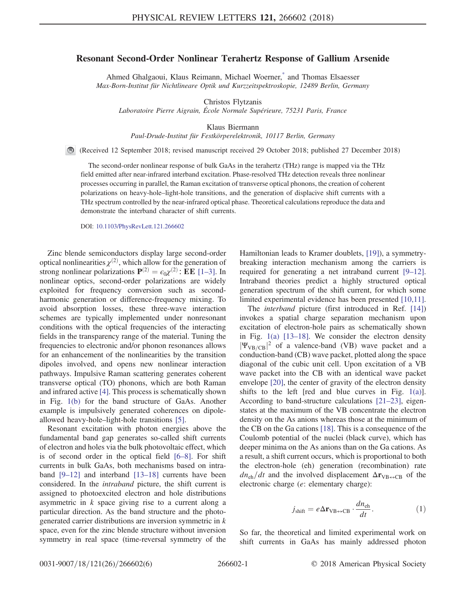## <span id="page-0-1"></span>Resonant Second-Order Nonlinear Terahertz Response of Gallium Arsenide

Ahmed Ghalgaoui, Klaus Reimann, Michael Woerner,<sup>[\\*](#page-4-0)</sup> and Thomas Elsaesser Max-Born-Institut für Nichtlineare Optik und Kurzzeitspektroskopie, 12489 Berlin, Germany

Christos Flytzanis

Laboratoire Pierre Aigrain, École Normale Supérieure, 75231 Paris, France

Klaus Biermann

Paul-Drude-Institut für Festkörperelektronik, 10117 Berlin, Germany

(Received 12 September 2018; revised manuscript received 29 October 2018; published 27 December 2018)

The second-order nonlinear response of bulk GaAs in the terahertz (THz) range is mapped via the THz field emitted after near-infrared interband excitation. Phase-resolved THz detection reveals three nonlinear processes occurring in parallel, the Raman excitation of transverse optical phonons, the creation of coherent polarizations on heavy-hole–light-hole transitions, and the generation of displacive shift currents with a THz spectrum controlled by the near-infrared optical phase. Theoretical calculations reproduce the data and demonstrate the interband character of shift currents.

DOI: [10.1103/PhysRevLett.121.266602](https://doi.org/10.1103/PhysRevLett.121.266602)

Zinc blende semiconductors display large second-order optical nonlinearities  $\chi^{(2)}$ , which allow for the generation of strong nonlinear polarizations  $\mathbf{P}^{(2)} = \epsilon_0 \chi^{(2)}$ : **EE** [1–[3\].](#page-4-1) In nonlinear optics, second-order polarizations are widely exploited for frequency conversion such as secondharmonic generation or difference-frequency mixing. To avoid absorption losses, these three-wave interaction schemes are typically implemented under nonresonant conditions with the optical frequencies of the interacting fields in the transparency range of the material. Tuning the frequencies to electronic and/or phonon resonances allows for an enhancement of the nonlinearities by the transition dipoles involved, and opens new nonlinear interaction pathways. Impulsive Raman scattering generates coherent transverse optical (TO) phonons, which are both Raman and infrared active [\[4\].](#page-4-2) This process is schematically shown in Fig. [1\(b\)](#page-1-0) for the band structure of GaAs. Another example is impulsively generated coherences on dipoleallowed heavy-hole–light-hole transitions [\[5\]](#page-4-3).

Resonant excitation with photon energies above the fundamental band gap generates so-called shift currents of electron and holes via the bulk photovoltaic effect, which is of second order in the optical field [6–[8\]](#page-4-4). For shift currents in bulk GaAs, both mechanisms based on intraband [9–[12\]](#page-4-5) and interband [13–[18\]](#page-4-6) currents have been considered. In the intraband picture, the shift current is assigned to photoexcited electron and hole distributions asymmetric in  $k$  space giving rise to a current along a particular direction. As the band structure and the photogenerated carrier distributions are inversion symmetric in k space, even for the zinc blende structure without inversion symmetry in real space (time-reversal symmetry of the Hamiltonian leads to Kramer doublets, [\[19\]](#page-4-7)), a symmetrybreaking interaction mechanism among the carriers is required for generating a net intraband current [9–[12\]](#page-4-5). Intraband theories predict a highly structured optical generation spectrum of the shift current, for which some limited experimental evidence has been presented [\[10,11\]](#page-4-8).

The *interband* picture (first introduced in Ref. [\[14\]\)](#page-4-9) invokes a spatial charge separation mechanism upon excitation of electron-hole pairs as schematically shown in Fig. [1\(a\)](#page-1-0) [\[13](#page-4-6)–18]. We consider the electron density  $|\Psi_{VB/CB}|^2$  of a valence-band (VB) wave packet and a conduction-band (CB) wave packet, plotted along the space diagonal of the cubic unit cell. Upon excitation of a VB wave packet into the CB with an identical wave packet envelope [\[20\]](#page-4-10), the center of gravity of the electron density shifts to the left [red and blue curves in Fig. [1\(a\)](#page-1-0)]. According to band-structure calculations [\[21](#page-4-11)–23], eigenstates at the maximum of the VB concentrate the electron density on the As anions whereas those at the minimum of the CB on the Ga cations [\[18\]](#page-4-12). This is a consequence of the Coulomb potential of the nuclei (black curve), which has deeper minima on the As anions than on the Ga cations. As a result, a shift current occurs, which is proportional to both the electron-hole (eh) generation (recombination) rate  $dn_{\rm eh}/dt$  and the involved displacement  $\Delta r_{\rm VB\leftrightarrow CB}$  of the electronic charge (e: elementary charge):

$$
j_{\text{shift}} = e\Delta \mathbf{r}_{\text{VB} \leftrightarrow \text{CB}} \cdot \frac{dn_{\text{eh}}}{dt}.
$$
 (1)

<span id="page-0-0"></span>So far, the theoretical and limited experimental work on shift currents in GaAs has mainly addressed photon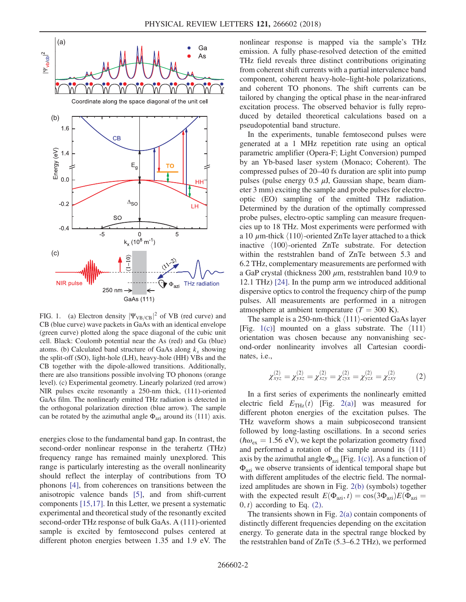<span id="page-1-0"></span>

FIG. 1. (a) Electron density  $|\Psi_{VB/CB}|^2$  of VB (red curve) and CB (blue curve) wave packets in GaAs with an identical envelope (green curve) plotted along the space diagonal of the cubic unit cell. Black: Coulomb potential near the As (red) and Ga (blue) atoms. (b) Calculated band structure of GaAs along  $k_x$  showing the split-off (SO), light-hole (LH), heavy-hole (HH) VBs and the CB together with the dipole-allowed transitions. Additionally, there are also transitions possible involving TO phonons (orange level). (c) Experimental geometry. Linearly polarized (red arrow) NIR pulses excite resonantly a 250-nm thick, (111)-oriented GaAs film. The nonlinearly emitted THz radiation is detected in the orthogonal polarization direction (blue arrow). The sample can be rotated by the azimuthal angle  $\Phi_{\text{azi}}$  around its  $\langle 111 \rangle$  axis.

energies close to the fundamental band gap. In contrast, the second-order nonlinear response in the terahertz (THz) frequency range has remained mainly unexplored. This range is particularly interesting as the overall nonlinearity should reflect the interplay of contributions from TO phonons [\[4\],](#page-4-2) from coherences on transitions between the anisotropic valence bands [\[5\]](#page-4-3), and from shift-current components [\[15,17\]](#page-4-13). In this Letter, we present a systematic experimental and theoretical study of the resonantly excited second-order THz response of bulk GaAs. A (111)-oriented sample is excited by femtosecond pulses centered at different photon energies between 1.35 and 1.9 eV. The nonlinear response is mapped via the sample's THz emission. A fully phase-resolved detection of the emitted THz field reveals three distinct contributions originating from coherent shift currents with a partial intervalence band component, coherent heavy-hole–light-hole polarizations, and coherent TO phonons. The shift currents can be tailored by changing the optical phase in the near-infrared excitation process. The observed behavior is fully reproduced by detailed theoretical calculations based on a pseudopotential band structure.

In the experiments, tunable femtosecond pulses were generated at a 1 MHz repetition rate using an optical parametric amplifier (Opera-F; Light Conversion) pumped by an Yb-based laser system (Monaco; Coherent). The compressed pulses of 20–40 fs duration are split into pump pulses (pulse energy  $0.5 \mu J$ , Gaussian shape, beam diameter 3 mm) exciting the sample and probe pulses for electrooptic (EO) sampling of the emitted THz radiation. Determined by the duration of the optimally compressed probe pulses, electro-optic sampling can measure frequencies up to 18 THz. Most experiments were performed with a 10  $\mu$ m-thick  $\langle 110 \rangle$ -oriented ZnTe layer attached to a thick inactive  $\langle 100 \rangle$ -oriented ZnTe substrate. For detection within the reststrahlen band of ZnTe between 5.3 and 6.2 THz, complementary measurements are performed with a GaP crystal (thickness 200  $\mu$ m, reststrahlen band 10.9 to 12.1 THz) [\[24\]](#page-4-14). In the pump arm we introduced additional dispersive optics to control the frequency chirp of the pump pulses. All measurements are performed in a nitrogen atmosphere at ambient temperature  $(T = 300 \text{ K})$ .

<span id="page-1-1"></span>The sample is a 250-nm-thick  $\langle 111 \rangle$ -oriented GaAs layer [Fig. [1\(c\)](#page-1-0)] mounted on a glass substrate. The  $\langle 111 \rangle$ orientation was chosen because any nonvanishing second-order nonlinearity involves all Cartesian coordinates, i.e.,

$$
\chi_{xyz}^{(2)} = \chi_{yxz}^{(2)} = \chi_{xzy}^{(2)} = \chi_{zyx}^{(2)} = \chi_{yzx}^{(2)} = \chi_{zxy}^{(2)} \tag{2}
$$

In a first series of experiments the nonlinearly emitted electric field  $E_{\text{THz}}(t)$  [Fig. [2\(a\)\]](#page-2-0) was measured for different photon energies of the excitation pulses. The THz waveform shows a main subpicosecond transient followed by long-lasting oscillations. In a second series ( $\hbar \omega_{\text{ex}} = 1.56$  eV), we kept the polarization geometry fixed and performed a rotation of the sample around its  $\langle 111 \rangle$ axis by the azimuthal angle  $\Phi_{\text{azi}}$  [Fig. [1\(c\)](#page-1-0)]. As a function of Φazi we observe transients of identical temporal shape but with different amplitudes of the electric field. The normalized amplitudes are shown in Fig. [2\(b\)](#page-2-0) (symbols) together with the expected result  $E(\Phi_{\text{azi}}, t) = \cos(3\Phi_{\text{azi}})E(\Phi_{\text{azi}} =$  $(0, t)$  according to Eq. [\(2\)](#page-1-1).

The transients shown in Fig.  $2(a)$  contain components of distinctly different frequencies depending on the excitation energy. To generate data in the spectral range blocked by the reststrahlen band of ZnTe (5.3–6.2 THz), we performed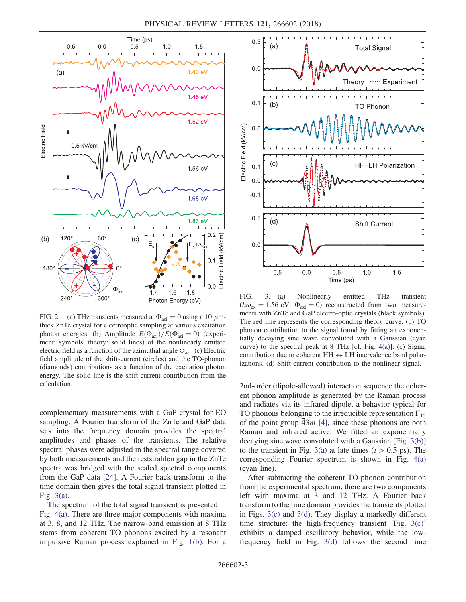<span id="page-2-0"></span>

FIG. 2. (a) THz transients measured at  $\Phi_{\text{azi}} = 0$  using a 10  $\mu$ mthick ZnTe crystal for electrooptic sampling at various excitation photon energies. (b) Amplitude  $E(\Phi_{\text{azi}})/E(\Phi_{\text{azi}}=0)$  (experiment: symbols, theory: solid lines) of the nonlinearly emitted electric field as a function of the azimuthal angle  $\Phi_{\text{azi}}$ . (c) Electric field amplitude of the shift-current (circles) and the TO-phonon (diamonds) contributions as a function of the excitation photon energy. The solid line is the shift-current contribution from the calculation.

complementary measurements with a GaP crystal for EO sampling. A Fourier transform of the ZnTe and GaP data sets into the frequency domain provides the spectral amplitudes and phases of the transients. The relative spectral phases were adjusted in the spectral range covered by both measurements and the reststrahlen gap in the ZnTe spectra was bridged with the scaled spectral components from the GaP data [\[24\].](#page-4-14) A Fourier back transform to the time domain then gives the total signal transient plotted in Fig. [3\(a\).](#page-2-1)

The spectrum of the total signal transient is presented in Fig. [4\(a\)](#page-3-0). There are three major components with maxima at 3, 8, and 12 THz. The narrow-band emission at 8 THz stems from coherent TO phonons excited by a resonant impulsive Raman process explained in Fig. [1\(b\)](#page-1-0). For a

<span id="page-2-1"></span>

FIG. 3. (a) Nonlinearly emitted THz transient  $(\hbar\omega_{\rm ex} = 1.56 \text{ eV}, \Phi_{\rm azi} = 0)$  reconstructed from two measurements with ZnTe and GaP electro-optic crystals (black symbols). The red line represents the corresponding theory curve. (b) TO phonon contribution to the signal found by fitting an exponentially decaying sine wave convoluted with a Gaussian (cyan curve) to the spectral peak at  $8$  THz [cf. Fig. [4\(a\)\]](#page-3-0). (c) Signal contribution due to coherent  $HH \leftrightarrow LH$  intervalence band polarizations. (d) Shift-current contribution to the nonlinear signal.

2nd-order (dipole-allowed) interaction sequence the coherent phonon amplitude is generated by the Raman process and radiates via its infrared dipole, a behavior typical for TO phonons belonging to the irreducible representation  $\Gamma_{15}$ of the point group  $43m$  [\[4\]](#page-4-2), since these phonons are both Raman and infrared active. We fitted an exponentially decaying sine wave convoluted with a Gaussian [Fig. [3\(b\)\]](#page-2-1) to the transient in Fig. [3\(a\)](#page-2-1) at late times ( $t > 0.5$  ps). The corresponding Fourier spectrum is shown in Fig. [4\(a\)](#page-3-0) (cyan line).

After subtracting the coherent TO-phonon contribution from the experimental spectrum, there are two components left with maxima at 3 and 12 THz. A Fourier back transform to the time domain provides the transients plotted in Figs. [3\(c\)](#page-2-1) and [3\(d\).](#page-2-1) They display a markedly different time structure: the high-frequency transient [Fig.  $3(c)$ ] exhibits a damped oscillatory behavior, while the lowfrequency field in Fig. [3\(d\)](#page-2-1) follows the second time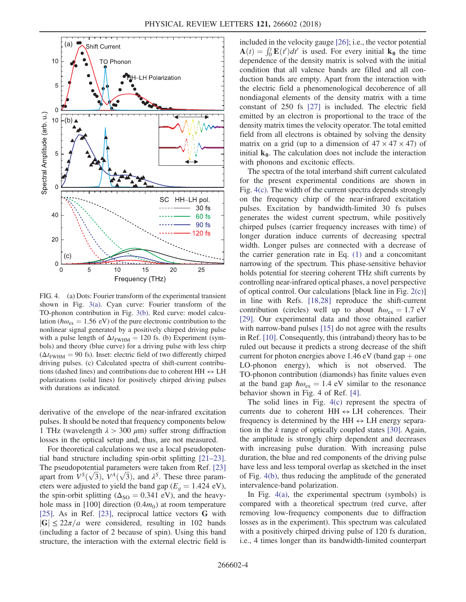<span id="page-3-0"></span>

FIG. 4. (a) Dots: Fourier transform of the experimental transient shown in Fig. [3\(a\).](#page-2-1) Cyan curve: Fourier transform of the TO-phonon contribution in Fig. [3\(b\).](#page-2-1) Red curve: model calculation ( $\hbar \omega_{\text{ex}} = 1.56 \text{ eV}$ ) of the pure electronic contribution to the nonlinear signal generated by a positively chirped driving pulse with a pulse length of  $\Delta t_{\text{FWHM}} = 120$  fs. (b) Experiment (symbols) and theory (blue curve) for a driving pulse with less chirp  $(\Delta t_{\text{FWHM}} = 90 \text{ fs})$ . Inset: electric field of two differently chirped driving pulses. (c) Calculated spectra of shift-current contributions (dashed lines) and contributions due to coherent HH  $\leftrightarrow$  LH polarizations (solid lines) for positively chirped driving pulses with durations as indicated.

derivative of the envelope of the near-infrared excitation pulses. It should be noted that frequency components below 1 THz (wavelength  $\lambda > 300 \ \mu m$ ) suffer strong diffraction losses in the optical setup and, thus, are not measured.

For theoretical calculations we use a local pseudopotential band structure including spin-orbit splitting [\[21](#page-4-11)–23]. The pseudopotential parameters were taken from Ref. [\[23\]](#page-4-15) The pseudopotential parameters were taken from Ref. [23] apart from  $V^S(\sqrt{3})$ ,  $V^A(\sqrt{3})$ , and  $\lambda^S$ . These three parameters were adjusted to yield the band gap ( $E<sub>q</sub> = 1.424$  eV), the spin-orbit splitting ( $\Delta_{\text{SO}} = 0.341 \text{ eV}$ ), and the heavyhole mass in  $[100]$  direction  $(0.4m_0)$  at room temperature [\[25\]](#page-4-16). As in Ref. [\[23\],](#page-4-15) reciprocal lattice vectors G with  $|G| \leq 22\pi/a$  were considered, resulting in 102 bands (including a factor of 2 because of spin). Using this band structure, the interaction with the external electric field is included in the velocity gauge [\[26\]](#page-4-17); i.e., the vector potential included in the velocity gauge [26]; i.e., the vector potential  $\mathbf{A}(t) = \int_0^t \mathbf{E}(t')dt'$  is used. For every initial  $\mathbf{k}_0$  the time dependence of the density matrix is solved with the initial condition that all valence bands are filled and all conduction bands are empty. Apart from the interaction with the electric field a phenomenological decoherence of all nondiagonal elements of the density matrix with a time constant of 250 fs [\[27\]](#page-5-0) is included. The electric field emitted by an electron is proportional to the trace of the density matrix times the velocity operator. The total emitted field from all electrons is obtained by solving the density matrix on a grid (up to a dimension of  $47 \times 47 \times 47$ ) of initial  $k_0$ . The calculation does not include the interaction with phonons and excitonic effects.

The spectra of the total interband shift current calculated for the present experimental conditions are shown in Fig. [4\(c\).](#page-3-0) The width of the current spectra depends strongly on the frequency chirp of the near-infrared excitation pulses. Excitation by bandwidth-limited 30 fs pulses generates the widest current spectrum, while positively chirped pulses (carrier frequency increases with time) of longer duration induce currents of decreasing spectral width. Longer pulses are connected with a decrease of the carrier generation rate in Eq. [\(1\)](#page-0-0) and a concomitant narrowing of the spectrum. This phase-sensitive behavior holds potential for steering coherent THz shift currents by controlling near-infrared optical phases, a novel perspective of optical control. Our calculations [black line in Fig. [2\(c\)\]](#page-2-0) in line with Refs. [\[18,28\]](#page-4-12) reproduce the shift-current contribution (circles) well up to about  $\hbar \omega_{\text{ex}} = 1.7 \text{ eV}$ [\[29\]](#page-5-1). Our experimental data and those obtained earlier with narrow-band pulses [\[15\]](#page-4-13) do not agree with the results in Ref. [\[10\].](#page-4-8) Consequently, this (intraband) theory has to be ruled out because it predicts a strong decrease of the shift current for photon energies above 1.46 eV (band gap  $+$  one LO-phonon energy), which is not observed. The TO-phonon contribution (diamonds) has finite values even at the band gap  $\hbar \omega_{\text{ex}} = 1.4 \text{ eV}$  similar to the resonance behavior shown in Fig. 4 of Ref. [\[4\]](#page-4-2).

The solid lines in Fig. [4\(c\)](#page-3-0) represent the spectra of currents due to coherent  $HH \leftrightarrow LH$  coherences. Their frequency is determined by the HH  $\leftrightarrow$  LH energy separation in the  $k$  range of optically coupled states [\[30\]](#page-5-2). Again, the amplitude is strongly chirp dependent and decreases with increasing pulse duration. With increasing pulse duration, the blue and red components of the driving pulse have less and less temporal overlap as sketched in the inset of Fig. [4\(b\)](#page-3-0), thus reducing the amplitude of the generated intervalence-band polarization.

In Fig.  $4(a)$ , the experimental spectrum (symbols) is compared with a theoretical spectrum (red curve, after removing low-frequency components due to diffraction losses as in the experiment). This spectrum was calculated with a positively chirped driving pulse of 120 fs duration, i.e., 4 times longer than its bandwidth-limited counterpart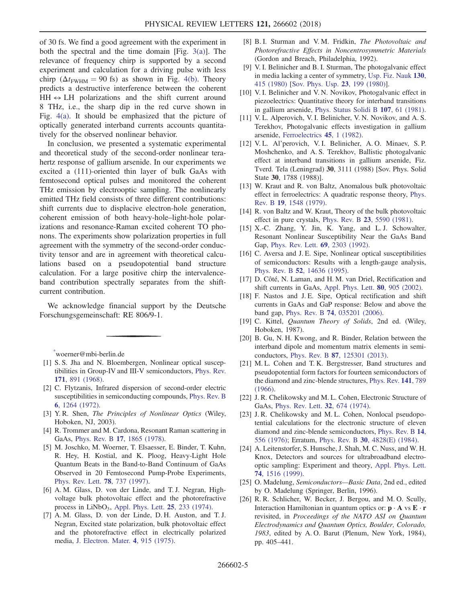of 30 fs. We find a good agreement with the experiment in both the spectral and the time domain [Fig.  $3(a)$ ]. The relevance of frequency chirp is supported by a second experiment and calculation for a driving pulse with less chirp ( $\Delta t$ <sub>FWHM</sub> = 90 fs) as shown in Fig. [4\(b\)](#page-3-0). Theory predicts a destructive interference between the coherent  $HH \leftrightarrow LH$  polarizations and the shift current around 8 THz, i.e., the sharp dip in the red curve shown in Fig. [4\(a\).](#page-3-0) It should be emphasized that the picture of optically generated interband currents accounts quantitatively for the observed nonlinear behavior.

In conclusion, we presented a systematic experimental and theoretical study of the second-order nonlinear terahertz response of gallium arsenide. In our experiments we excited a (111)-oriented thin layer of bulk GaAs with femtosecond optical pulses and monitored the coherent THz emission by electrooptic sampling. The nonlinearly emitted THz field consists of three different contributions: shift currents due to displacive electron-hole generation, coherent emission of both heavy-hole–light-hole polarizations and resonance-Raman excited coherent TO phonons. The experiments show polarization properties in full agreement with the symmetry of the second-order conductivity tensor and are in agreement with theoretical calculations based on a pseudopotential band structure calculation. For a large positive chirp the intervalenceband contribution spectrally separates from the shiftcurrent contribution.

We acknowledge financial support by the Deutsche Forschungsgemeinschaft: RE 806/9-1.

<span id="page-4-1"></span><span id="page-4-0"></span>[\\*](#page-0-1) woerner@mbi-berlin.de

- [1] S. S. Jha and N. Bloembergen, Nonlinear optical susceptibilities in Group-IV and III-V semiconductors, [Phys. Rev.](https://doi.org/10.1103/PhysRev.171.891) 171[, 891 \(1968\)](https://doi.org/10.1103/PhysRev.171.891).
- [2] C. Flytzanis, Infrared dispersion of second-order electric susceptibilities in semiconducting compounds, [Phys. Rev. B](https://doi.org/10.1103/PhysRevB.6.1264) 6[, 1264 \(1972\).](https://doi.org/10.1103/PhysRevB.6.1264)
- <span id="page-4-2"></span>[3] Y.R. Shen, The Principles of Nonlinear Optics (Wiley, Hoboken, NJ, 2003).
- <span id="page-4-3"></span>[4] R. Trommer and M. Cardona, Resonant Raman scattering in GaAs, Phys. Rev. B 17[, 1865 \(1978\).](https://doi.org/10.1103/PhysRevB.17.1865)
- [5] M. Joschko, M. Woerner, T. Elsaesser, E. Binder, T. Kuhn, R. Hey, H. Kostial, and K. Ploog, Heavy-Light Hole Quantum Beats in the Band-to-Band Continuum of GaAs Observed in 20 Femtosecond Pump-Probe Experiments, [Phys. Rev. Lett.](https://doi.org/10.1103/PhysRevLett.78.737) 78, 737 (1997).
- <span id="page-4-4"></span>[6] A. M. Glass, D. von der Linde, and T. J. Negran, Highvoltage bulk photovoltaic effect and the photorefractive process in LiNbO<sub>3</sub>, [Appl. Phys. Lett.](https://doi.org/10.1063/1.1655453)  $25$ ,  $233$  (1974).
- [7] A. M. Glass, D. von der Linde, D. H. Auston, and T. J. Negran, Excited state polarization, bulk photovoltaic effect and the photorefractive effect in electrically polarized media, [J. Electron. Mater.](https://doi.org/10.1007/BF02660180) 4, 915 (1975).
- [8] B. I. Sturman and V. M. Fridkin, The Photovoltaic and Photorefractive Effects in Noncentrosymmetric Materials (Gordon and Breach, Philadelphia, 1992).
- <span id="page-4-5"></span>[9] V. I. Belinicher and B. I. Sturman, The photogalvanic effect in media lacking a center of symmetry, [Usp. Fiz. Nauk](https://doi.org/10.3367/UFNr.0130.198003b.0415) 130, [415 \(1980\)](https://doi.org/10.3367/UFNr.0130.198003b.0415) [[Sov. Phys. Usp.](https://doi.org/10.1070/PU1980v023n03ABEH004703) 23, 199 (1980)].
- <span id="page-4-8"></span>[10] V. I. Belinicher and V. N. Novikov, Photogalvanic effect in piezoelectrics: Quantitative theory for interband transitions in gallium arsenide, [Phys. Status Solidi B](https://doi.org/10.1002/pssb.2221070104) 107, 61 (1981).
- [11] V. L. Alperovich, V. I. Belinicher, V. N. Novikov, and A. S. Terekhov, Photogalvanic effects investigation in gallium arsenide, [Ferroelectrics](https://doi.org/10.1080/00150198208208275) 45, 1 (1982).
- [12] V.L. Al'perovich, V.I. Belinicher, A.O. Minaev, S.P. Moshchenko, and A. S. Terekhov, Ballistic photogalvanic effect at interband transitions in gallium arsenide, Fiz. Tverd. Tela (Leningrad) 30, 3111 (1988) [Sov. Phys. Solid State 30, 1788 (1988)].
- <span id="page-4-6"></span>[13] W. Kraut and R. von Baltz, Anomalous bulk photovoltaic effect in ferroelectrics: A quadratic response theory, [Phys.](https://doi.org/10.1103/PhysRevB.19.1548) Rev. B 19[, 1548 \(1979\)](https://doi.org/10.1103/PhysRevB.19.1548).
- <span id="page-4-9"></span>[14] R. von Baltz and W. Kraut, Theory of the bulk photovoltaic effect in pure crystals, Phys. Rev. B 23[, 5590 \(1981\).](https://doi.org/10.1103/PhysRevB.23.5590)
- <span id="page-4-13"></span>[15] X.-C. Zhang, Y. Jin, K. Yang, and L.J. Schowalter, Resonant Nonlinear Susceptibility Near the GaAs Band Gap, [Phys. Rev. Lett.](https://doi.org/10.1103/PhysRevLett.69.2303) 69, 2303 (1992).
- [16] C. Aversa and J. E. Sipe, Nonlinear optical susceptibilities of semiconductors: Results with a length-gauge analysis, Phys. Rev. B 52[, 14636 \(1995\)](https://doi.org/10.1103/PhysRevB.52.14636).
- [17] D. Côté, N. Laman, and H. M. van Driel, Rectification and shift currents in GaAs, [Appl. Phys. Lett.](https://doi.org/10.1063/1.1436530) 80, 905 (2002).
- <span id="page-4-12"></span>[18] F. Nastos and J. E. Sipe, Optical rectification and shift currents in GaAs and GaP response: Below and above the band gap, Phys. Rev. B 74[, 035201 \(2006\)](https://doi.org/10.1103/PhysRevB.74.035201).
- <span id="page-4-7"></span>[19] C. Kittel, Quantum Theory of Solids, 2nd ed. (Wiley, Hoboken, 1987).
- <span id="page-4-10"></span>[20] B. Gu, N. H. Kwong, and R. Binder, Relation between the interband dipole and momentum matrix elements in semiconductors, Phys. Rev. B 87[, 125301 \(2013\)](https://doi.org/10.1103/PhysRevB.87.125301).
- <span id="page-4-11"></span>[21] M. L. Cohen and T. K. Bergstresser, Band structures and pseudopotential form factors for fourteen semiconductors of the diamond and zinc-blende structures, [Phys. Rev.](https://doi.org/10.1103/PhysRev.141.789) 141, 789 [\(1966\).](https://doi.org/10.1103/PhysRev.141.789)
- [22] J. R. Chelikowsky and M. L. Cohen, Electronic Structure of GaAs, [Phys. Rev. Lett.](https://doi.org/10.1103/PhysRevLett.32.674) 32, 674 (1974).
- <span id="page-4-15"></span>[23] J. R. Chelikowsky and M. L. Cohen, Nonlocal pseudopotential calculations for the electronic structure of eleven diamond and zinc-blende semiconductors, [Phys. Rev. B](https://doi.org/10.1103/PhysRevB.14.556) 14, [556 \(1976\)](https://doi.org/10.1103/PhysRevB.14.556); Erratum, Phys. Rev. B 30[, 4828\(E\) \(1984\)](https://doi.org/10.1103/PhysRevB.30.4828).
- <span id="page-4-14"></span>[24] A. Leitenstorfer, S. Hunsche, J. Shah, M. C. Nuss, and W. H. Knox, Detectors and sources for ultrabroadband electrooptic sampling: Experiment and theory, [Appl. Phys. Lett.](https://doi.org/10.1063/1.123601) 74[, 1516 \(1999\)](https://doi.org/10.1063/1.123601).
- <span id="page-4-17"></span><span id="page-4-16"></span>[25] O. Madelung, Semiconductors-Basic Data, 2nd ed., edited by O. Madelung (Springer, Berlin, 1996).
- [26] R. R. Schlicher, W. Becker, J. Bergou, and M. O. Scully, Interaction Hamiltonian in quantum optics or:  $\mathbf{p} \cdot \mathbf{A}$  vs  $\mathbf{E} \cdot \mathbf{r}$ revisited, in Proceedings of the NATO ASI on Quantum Electrodynamics and Quantum Optics, Boulder, Colorado, 1983, edited by A. O. Barut (Plenum, New York, 1984), pp. 405–441.